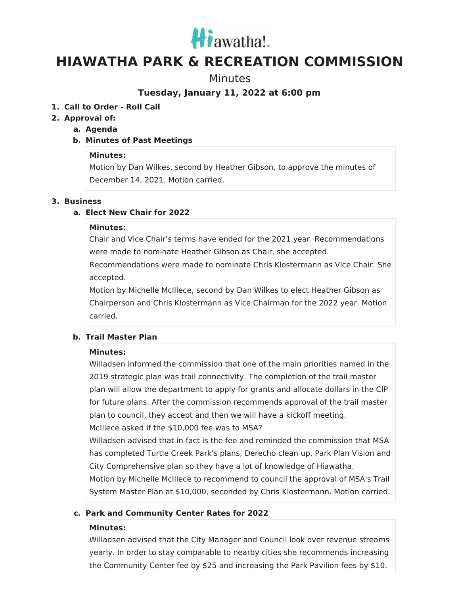

# **HIAWATHA PARK & RECREATION COMMISSION**

**Minutes** 

**Tuesday, January 11, 2022 at 6:00 pm**

# **1. Call to Order - Roll Call**

# **2. Approval of:**

## **a. Agenda**

# **b. Minutes of Past Meetings**

## **Minutes:**

Motion by Dan Wilkes, second by Heather Gibson, to approve the minutes of December 14, 2021. Motion carried.

#### **3. Business**

# **a. Elect New Chair for 2022**

#### **Minutes:**

Chair and Vice Chair's terms have ended for the 2021 year. Recommendations were made to nominate Heather Gibson as Chair, she accepted.

Recommendations were made to nominate Chris Klostermann as Vice Chair. She accepted.

Motion by Michelle McIllece, second by Dan Wilkes to elect Heather Gibson as Chairperson and Chris Klostermann as Vice Chairman for the 2022 year. Motion carried.

## **b. Trail Master Plan**

## **Minutes:**

Willadsen informed the commission that one of the main priorities named in the 2019 strategic plan was trail connectivity. The completion of the trail master plan will allow the department to apply for grants and allocate dollars in the CIP for future plans. After the commission recommends approval of the trail master plan to council, they accept and then we will have a kickoff meeting. McIllece asked if the \$10,000 fee was to MSA?

Willadsen advised that in fact is the fee and reminded the commission that MSA has completed Turtle Creek Park's plans, Derecho clean up, Park Plan Vision and City Comprehensive plan so they have a lot of knowledge of Hiawatha.

Motion by Michelle McIllece to recommend to council the approval of MSA's Trail System Master Plan at \$10,000, seconded by Chris Klostermann. Motion carried.

## **c. Park and Community Center Rates for 2022**

## **Minutes:**

Willadsen advised that the City Manager and Council look over revenue streams yearly. In order to stay comparable to nearby cities she recommends increasing the Community Center fee by \$25 and increasing the Park Pavilion fees by \$10.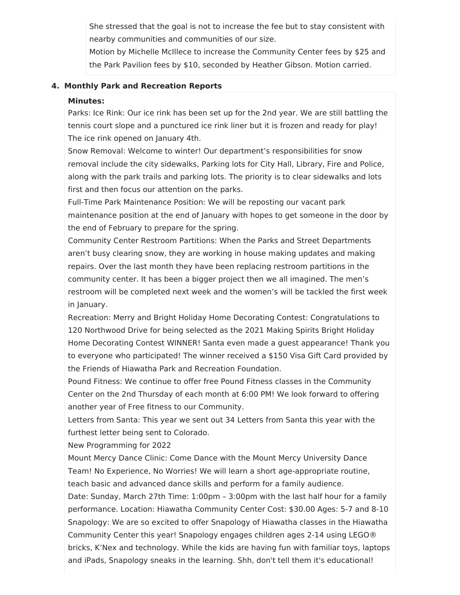She stressed that the goal is not to increase the fee but to stay consistent with nearby communities and communities of our size.

Motion by Michelle McIllece to increase the Community Center fees by \$25 and the Park Pavilion fees by \$10, seconded by Heather Gibson. Motion carried.

#### **4. Monthly Park and Recreation Reports**

#### **Minutes:**

Parks: Ice Rink: Our ice rink has been set up for the 2nd year. We are still battling the tennis court slope and a punctured ice rink liner but it is frozen and ready for play! The ice rink opened on January 4th.

Snow Removal: Welcome to winter! Our department's responsibilities for snow removal include the city sidewalks, Parking lots for City Hall, Library, Fire and Police, along with the park trails and parking lots. The priority is to clear sidewalks and lots first and then focus our attention on the parks.

Full-Time Park Maintenance Position: We will be reposting our vacant park maintenance position at the end of January with hopes to get someone in the door by the end of February to prepare for the spring.

Community Center Restroom Partitions: When the Parks and Street Departments aren't busy clearing snow, they are working in house making updates and making repairs. Over the last month they have been replacing restroom partitions in the community center. It has been a bigger project then we all imagined. The men's restroom will be completed next week and the women's will be tackled the first week in January.

Recreation: Merry and Bright Holiday Home Decorating Contest: Congratulations to 120 Northwood Drive for being selected as the 2021 Making Spirits Bright Holiday Home Decorating Contest WINNER! Santa even made a guest appearance! Thank you to everyone who participated! The winner received a \$150 Visa Gift Card provided by the Friends of Hiawatha Park and Recreation Foundation.

Pound Fitness: We continue to offer free Pound Fitness classes in the Community Center on the 2nd Thursday of each month at 6:00 PM! We look forward to offering another year of Free fitness to our Community.

Letters from Santa: This year we sent out 34 Letters from Santa this year with the furthest letter being sent to Colorado.

New Programming for 2022

Mount Mercy Dance Clinic: Come Dance with the Mount Mercy University Dance Team! No Experience, No Worries! We will learn a short age-appropriate routine, teach basic and advanced dance skills and perform for a family audience.

Date: Sunday, March 27th Time: 1:00pm – 3:00pm with the last half hour for a family performance. Location: Hiawatha Community Center Cost: \$30.00 Ages: 5-7 and 8-10 Snapology: We are so excited to offer Snapology of Hiawatha classes in the Hiawatha Community Center this year! Snapology engages children ages 2-14 using LEGO® bricks, K'Nex and technology. While the kids are having fun with familiar toys, laptops and iPads, Snapology sneaks in the learning. Shh, don't tell them it's educational!